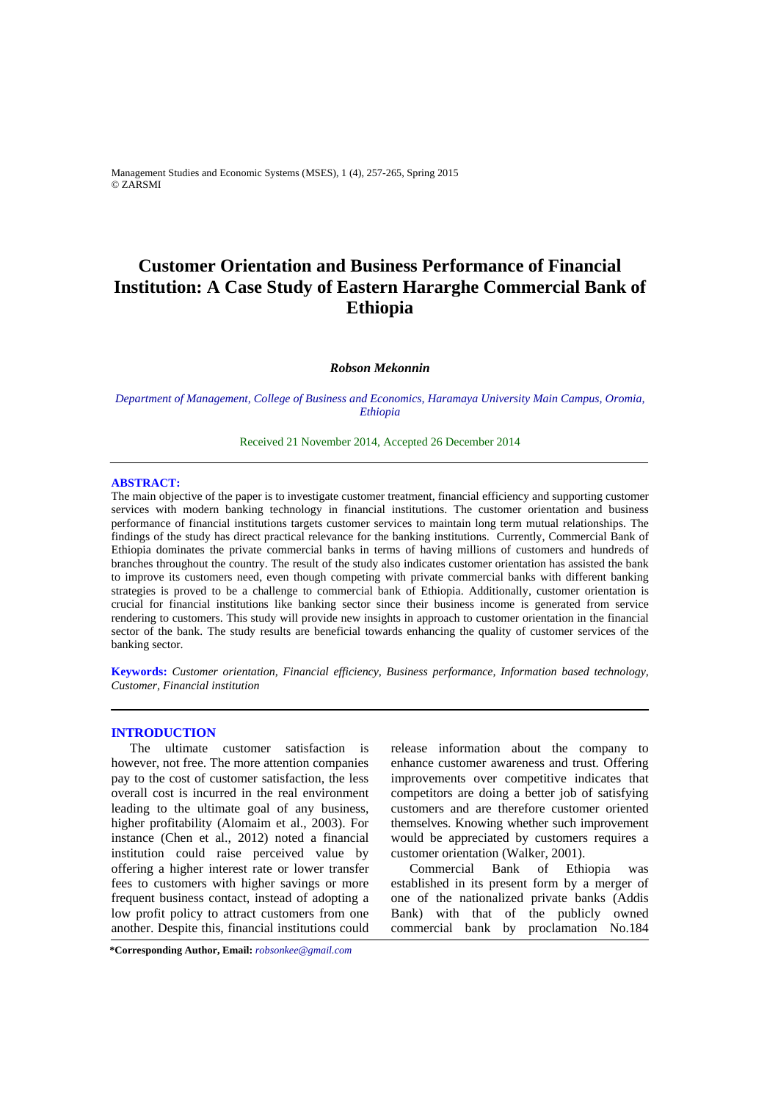Management Studies and Economic Systems (MSES), 1 (4), 257-265, Spring 2015 © ZARSMI

# **Customer Orientation and Business Performance of Financial Institution: A Case Study of Eastern Hararghe Commercial Bank of Ethiopia**

## *Robson Mekonnin*

*Department of Management, College of Business and Economics, Haramaya University Main Campus, Oromia, Ethiopia* 

Received 21 November 2014, Accepted 26 December 2014 

## **ABSTRACT:**

The main objective of the paper is to investigate customer treatment, financial efficiency and supporting customer services with modern banking technology in financial institutions. The customer orientation and business performance of financial institutions targets customer services to maintain long term mutual relationships. The findings of the study has direct practical relevance for the banking institutions. Currently, Commercial Bank of Ethiopia dominates the private commercial banks in terms of having millions of customers and hundreds of branches throughout the country. The result of the study also indicates customer orientation has assisted the bank to improve its customers need, even though competing with private commercial banks with different banking strategies is proved to be a challenge to commercial bank of Ethiopia. Additionally, customer orientation is crucial for financial institutions like banking sector since their business income is generated from service rendering to customers. This study will provide new insights in approach to customer orientation in the financial sector of the bank. The study results are beneficial towards enhancing the quality of customer services of the banking sector.

**Keywords:** *Customer orientation, Financial efficiency, Business performance, Information based technology, Customer, Financial institution* 

#### **INTRODUCTION**

The ultimate customer satisfaction is however, not free. The more attention companies pay to the cost of customer satisfaction, the less overall cost is incurred in the real environment leading to the ultimate goal of any business, higher profitability (Alomaim et al., 2003). For instance (Chen et al., 2012) noted a financial institution could raise perceived value by offering a higher interest rate or lower transfer fees to customers with higher savings or more frequent business contact, instead of adopting a low profit policy to attract customers from one another. Despite this, financial institutions could release information about the company to enhance customer awareness and trust. Offering improvements over competitive indicates that competitors are doing a better job of satisfying customers and are therefore customer oriented themselves. Knowing whether such improvement would be appreciated by customers requires a customer orientation (Walker, 2001).

Commercial Bank of Ethiopia was established in its present form by a merger of one of the nationalized private banks (Addis Bank) with that of the publicly owned commercial bank by proclamation No.184

**\*Corresponding Author, Email:** *robsonkee@gmail.com*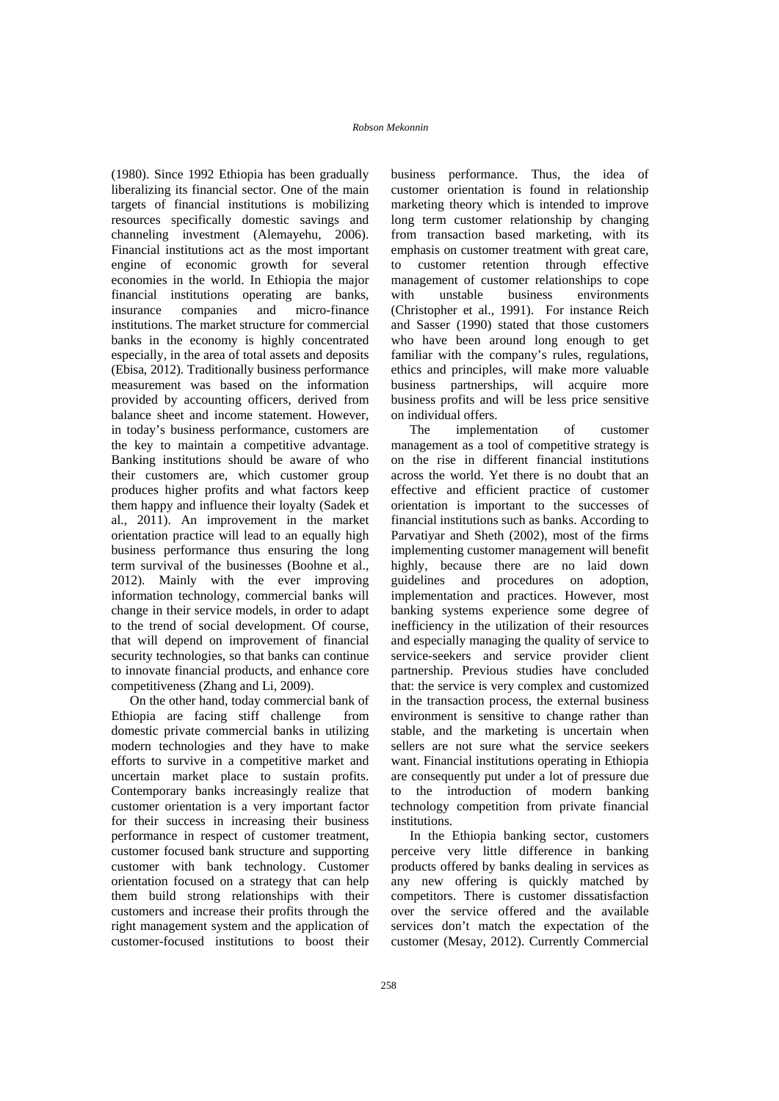(1980). Since 1992 Ethiopia has been gradually liberalizing its financial sector. One of the main targets of financial institutions is mobilizing resources specifically domestic savings and channeling investment (Alemayehu, 2006). Financial institutions act as the most important engine of economic growth for several economies in the world. In Ethiopia the major financial institutions operating are banks, insurance companies and micro-finance institutions. The market structure for commercial banks in the economy is highly concentrated especially, in the area of total assets and deposits (Ebisa, 2012). Traditionally business performance measurement was based on the information provided by accounting officers, derived from balance sheet and income statement. However, in today's business performance, customers are the key to maintain a competitive advantage. Banking institutions should be aware of who their customers are, which customer group produces higher profits and what factors keep them happy and influence their loyalty (Sadek et al., 2011). An improvement in the market orientation practice will lead to an equally high business performance thus ensuring the long term survival of the businesses (Boohne et al., 2012). Mainly with the ever improving information technology, commercial banks will change in their service models, in order to adapt to the trend of social development. Of course, that will depend on improvement of financial security technologies, so that banks can continue to innovate financial products, and enhance core competitiveness (Zhang and Li, 2009).

On the other hand, today commercial bank of Ethiopia are facing stiff challenge from domestic private commercial banks in utilizing modern technologies and they have to make efforts to survive in a competitive market and uncertain market place to sustain profits. Contemporary banks increasingly realize that customer orientation is a very important factor for their success in increasing their business performance in respect of customer treatment, customer focused bank structure and supporting customer with bank technology. Customer orientation focused on a strategy that can help them build strong relationships with their customers and increase their profits through the right management system and the application of customer-focused institutions to boost their

business performance. Thus, the idea of customer orientation is found in relationship marketing theory which is intended to improve long term customer relationship by changing from transaction based marketing, with its emphasis on customer treatment with great care, to customer retention through effective management of customer relationships to cope with unstable business environments (Christopher et al., 1991). For instance Reich and Sasser (1990) stated that those customers who have been around long enough to get familiar with the company's rules, regulations, ethics and principles, will make more valuable business partnerships, will acquire more business profits and will be less price sensitive on individual offers.

The implementation of customer management as a tool of competitive strategy is on the rise in different financial institutions across the world. Yet there is no doubt that an effective and efficient practice of customer orientation is important to the successes of financial institutions such as banks. According to Parvatiyar and Sheth (2002), most of the firms implementing customer management will benefit highly, because there are no laid down guidelines and procedures on adoption, implementation and practices. However, most banking systems experience some degree of inefficiency in the utilization of their resources and especially managing the quality of service to service-seekers and service provider client partnership. Previous studies have concluded that: the service is very complex and customized in the transaction process, the external business environment is sensitive to change rather than stable, and the marketing is uncertain when sellers are not sure what the service seekers want. Financial institutions operating in Ethiopia are consequently put under a lot of pressure due to the introduction of modern banking technology competition from private financial institutions.

In the Ethiopia banking sector, customers perceive very little difference in banking products offered by banks dealing in services as any new offering is quickly matched by competitors. There is customer dissatisfaction over the service offered and the available services don't match the expectation of the customer (Mesay, 2012). Currently Commercial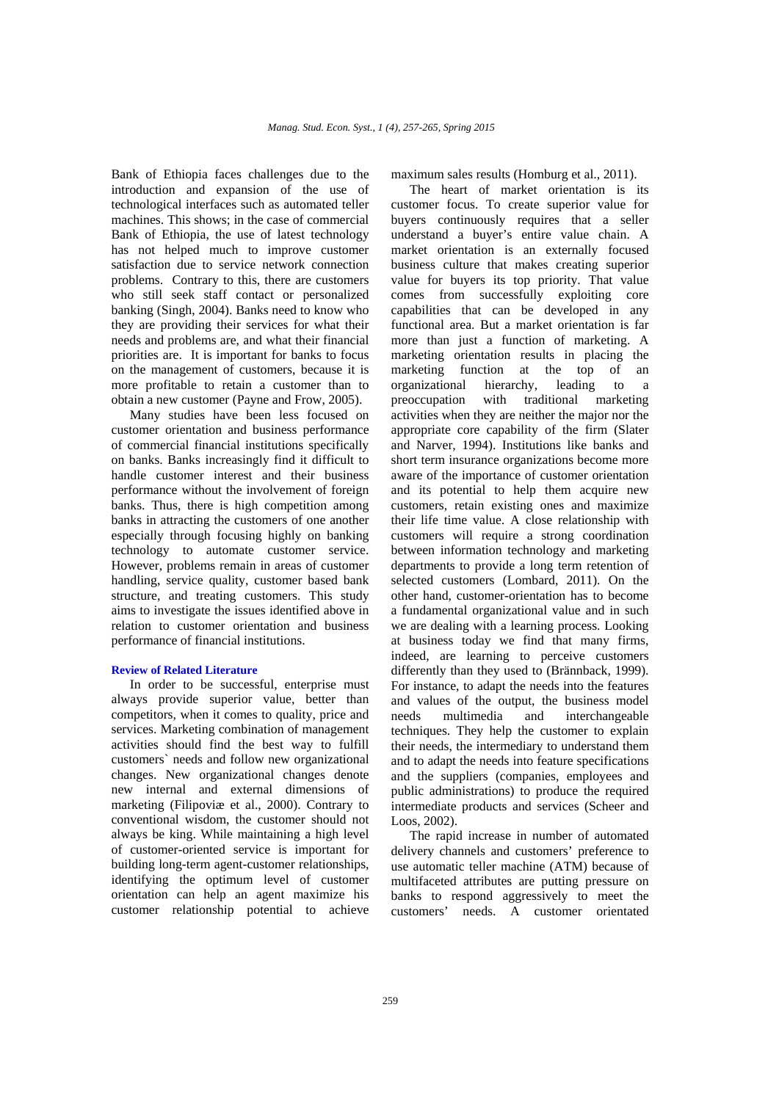Bank of Ethiopia faces challenges due to the introduction and expansion of the use of technological interfaces such as automated teller machines. This shows; in the case of commercial Bank of Ethiopia, the use of latest technology has not helped much to improve customer satisfaction due to service network connection problems. Contrary to this, there are customers who still seek staff contact or personalized banking (Singh, 2004). Banks need to know who they are providing their services for what their needs and problems are, and what their financial priorities are. It is important for banks to focus on the management of customers, because it is more profitable to retain a customer than to obtain a new customer (Payne and Frow, 2005).

Many studies have been less focused on customer orientation and business performance of commercial financial institutions specifically on banks. Banks increasingly find it difficult to handle customer interest and their business performance without the involvement of foreign banks. Thus, there is high competition among banks in attracting the customers of one another especially through focusing highly on banking technology to automate customer service. However, problems remain in areas of customer handling, service quality, customer based bank structure, and treating customers. This study aims to investigate the issues identified above in relation to customer orientation and business performance of financial institutions.

#### **Review of Related Literature**

In order to be successful, enterprise must always provide superior value, better than competitors, when it comes to quality, price and services. Marketing combination of management activities should find the best way to fulfill customers` needs and follow new organizational changes. New organizational changes denote new internal and external dimensions of marketing (Filipoviæ et al., 2000). Contrary to conventional wisdom, the customer should not always be king. While maintaining a high level of customer-oriented service is important for building long-term agent-customer relationships, identifying the optimum level of customer orientation can help an agent maximize his customer relationship potential to achieve

maximum sales results (Homburg et al., 2011).

The heart of market orientation is its customer focus. To create superior value for buyers continuously requires that a seller understand a buyer's entire value chain. A market orientation is an externally focused business culture that makes creating superior value for buyers its top priority. That value comes from successfully exploiting core capabilities that can be developed in any functional area. But a market orientation is far more than just a function of marketing. A marketing orientation results in placing the marketing function at the top of an organizational hierarchy, leading to a preoccupation with traditional marketing activities when they are neither the major nor the appropriate core capability of the firm (Slater and Narver, 1994). Institutions like banks and short term insurance organizations become more aware of the importance of customer orientation and its potential to help them acquire new customers, retain existing ones and maximize their life time value. A close relationship with customers will require a strong coordination between information technology and marketing departments to provide a long term retention of selected customers (Lombard, 2011). On the other hand, customer-orientation has to become a fundamental organizational value and in such we are dealing with a learning process. Looking at business today we find that many firms, indeed, are learning to perceive customers differently than they used to (Brännback, 1999). For instance, to adapt the needs into the features and values of the output, the business model needs multimedia and interchangeable techniques. They help the customer to explain their needs, the intermediary to understand them and to adapt the needs into feature specifications and the suppliers (companies, employees and public administrations) to produce the required intermediate products and services (Scheer and Loos, 2002).

The rapid increase in number of automated delivery channels and customers' preference to use automatic teller machine (ATM) because of multifaceted attributes are putting pressure on banks to respond aggressively to meet the customers' needs. A customer orientated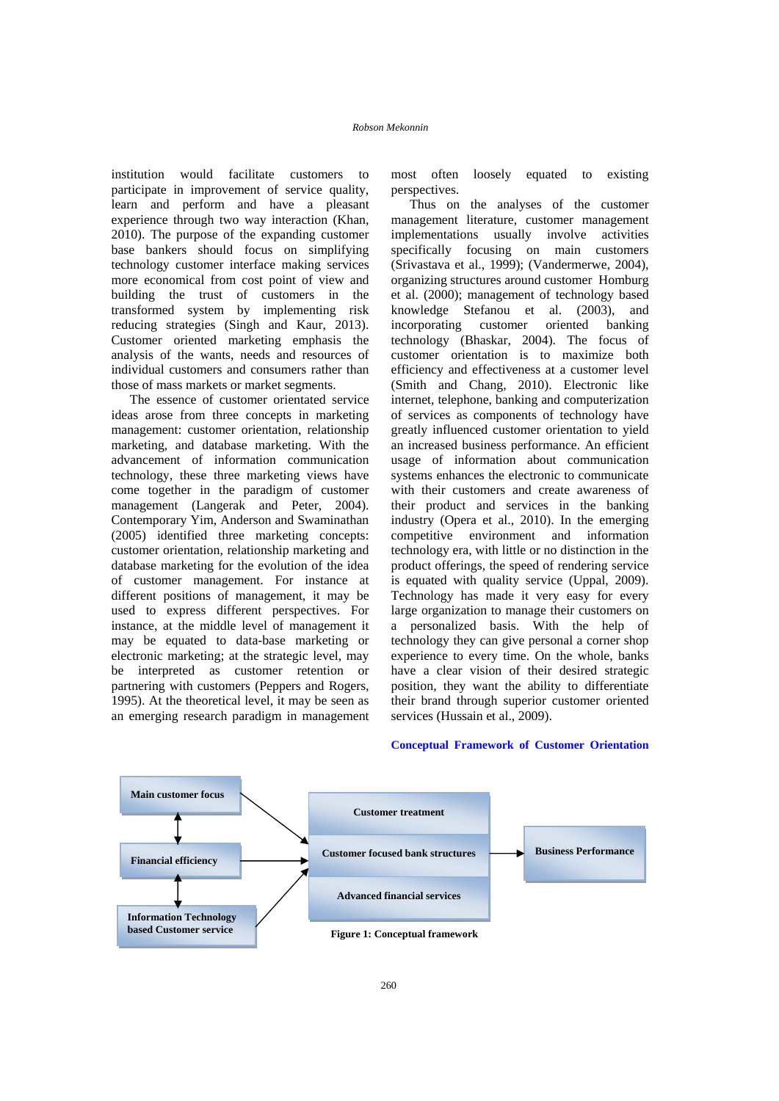institution would facilitate customers to participate in improvement of service quality, learn and perform and have a pleasant experience through two way interaction (Khan, 2010). The purpose of the expanding customer base bankers should focus on simplifying technology customer interface making services more economical from cost point of view and building the trust of customers in the transformed system by implementing risk reducing strategies (Singh and Kaur, 2013). Customer oriented marketing emphasis the analysis of the wants, needs and resources of individual customers and consumers rather than those of mass markets or market segments.

The essence of customer orientated service ideas arose from three concepts in marketing management: customer orientation, relationship marketing, and database marketing. With the advancement of information communication technology, these three marketing views have come together in the paradigm of customer management (Langerak and Peter, 2004). Contemporary Yim, Anderson and Swaminathan (2005) identified three marketing concepts: customer orientation, relationship marketing and database marketing for the evolution of the idea of customer management. For instance at different positions of management, it may be used to express different perspectives. For instance, at the middle level of management it may be equated to data-base marketing or electronic marketing; at the strategic level, may be interpreted as customer retention or partnering with customers (Peppers and Rogers, 1995). At the theoretical level, it may be seen as an emerging research paradigm in management

most often loosely equated to existing perspectives.

Thus on the analyses of the customer management literature, customer management implementations usually involve activities specifically focusing on main customers (Srivastava et al., 1999); (Vandermerwe, 2004), organizing structures around customer Homburg et al. (2000); management of technology based knowledge Stefanou et al. (2003), and<br>incorporating customer oriented banking incorporating customer oriented banking technology (Bhaskar, 2004). The focus of customer orientation is to maximize both efficiency and effectiveness at a customer level (Smith and Chang, 2010). Electronic like internet, telephone, banking and computerization of services as components of technology have greatly influenced customer orientation to yield an increased business performance. An efficient usage of information about communication systems enhances the electronic to communicate with their customers and create awareness of their product and services in the banking industry (Opera et al., 2010). In the emerging competitive environment and information technology era, with little or no distinction in the product offerings, the speed of rendering service is equated with quality service (Uppal, 2009). Technology has made it very easy for every large organization to manage their customers on a personalized basis. With the help of technology they can give personal a corner shop experience to every time. On the whole, banks have a clear vision of their desired strategic position, they want the ability to differentiate their brand through superior customer oriented services (Hussain et al., 2009).



#### **Conceptual Framework of Customer Orientation**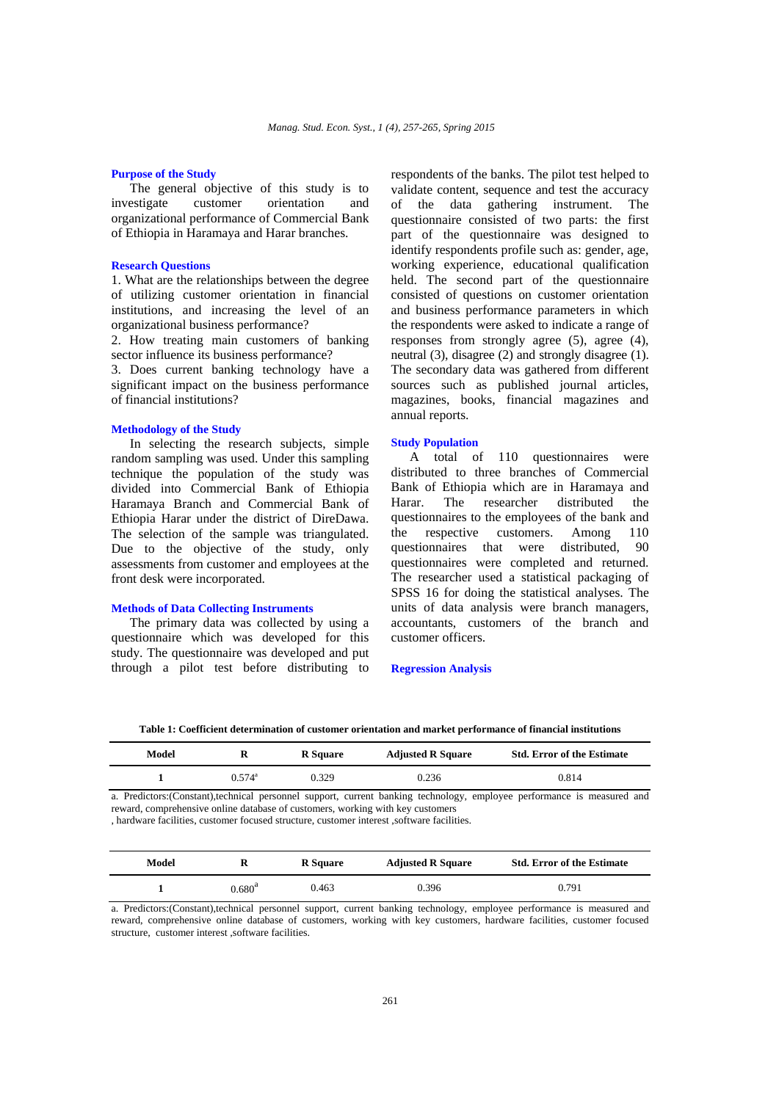#### **Purpose of the Study**

The general objective of this study is to investigate customer orientation and organizational performance of Commercial Bank of Ethiopia in Haramaya and Harar branches.

#### **Research Questions**

1. What are the relationships between the degree of utilizing customer orientation in financial institutions, and increasing the level of an organizational business performance?

2. How treating main customers of banking sector influence its business performance?

3. Does current banking technology have a significant impact on the business performance of financial institutions?

## **Methodology of the Study**

In selecting the research subjects, simple random sampling was used. Under this sampling technique the population of the study was divided into Commercial Bank of Ethiopia Haramaya Branch and Commercial Bank of Ethiopia Harar under the district of DireDawa. The selection of the sample was triangulated. Due to the objective of the study, only assessments from customer and employees at the front desk were incorporated.

## **Methods of Data Collecting Instruments**

The primary data was collected by using a questionnaire which was developed for this study. The questionnaire was developed and put through a pilot test before distributing to respondents of the banks. The pilot test helped to validate content, sequence and test the accuracy of the data gathering instrument. The questionnaire consisted of two parts: the first part of the questionnaire was designed to identify respondents profile such as: gender, age, working experience, educational qualification held. The second part of the questionnaire consisted of questions on customer orientation and business performance parameters in which the respondents were asked to indicate a range of responses from strongly agree (5), agree (4), neutral (3), disagree (2) and strongly disagree (1). The secondary data was gathered from different sources such as published journal articles, magazines, books, financial magazines and annual reports.

#### **Study Population**

A total of 110 questionnaires were distributed to three branches of Commercial Bank of Ethiopia which are in Haramaya and Harar. The researcher distributed the questionnaires to the employees of the bank and the respective customers. Among 110 questionnaires that were distributed, 90 questionnaires were completed and returned. The researcher used a statistical packaging of SPSS 16 for doing the statistical analyses. The units of data analysis were branch managers, accountants, customers of the branch and customer officers.

#### **Regression Analysis**

**Table 1: Coefficient determination of customer orientation and market performance of financial institutions** 

| Model | R               | <b>R</b> Square | <b>Adjusted R Square</b> | <b>Std. Error of the Estimate</b> |
|-------|-----------------|-----------------|--------------------------|-----------------------------------|
|       | $0.574^{\circ}$ | 0.329           | 0.236                    | 0.814                             |

a. Predictors:(Constant),technical personnel support, current banking technology, employee performance is measured and reward, comprehensive online database of customers, working with key customers

, hardware facilities, customer focused structure, customer interest ,software facilities.

| Model | R         | <b>R</b> Square | <b>Adjusted R Square</b> | <b>Std. Error of the Estimate</b> |
|-------|-----------|-----------------|--------------------------|-----------------------------------|
|       | $0.680^4$ | 0.463           | 0.396                    | 0.791                             |

a. Predictors:(Constant),technical personnel support, current banking technology, employee performance is measured and reward, comprehensive online database of customers, working with key customers, hardware facilities, customer focused structure, customer interest ,software facilities.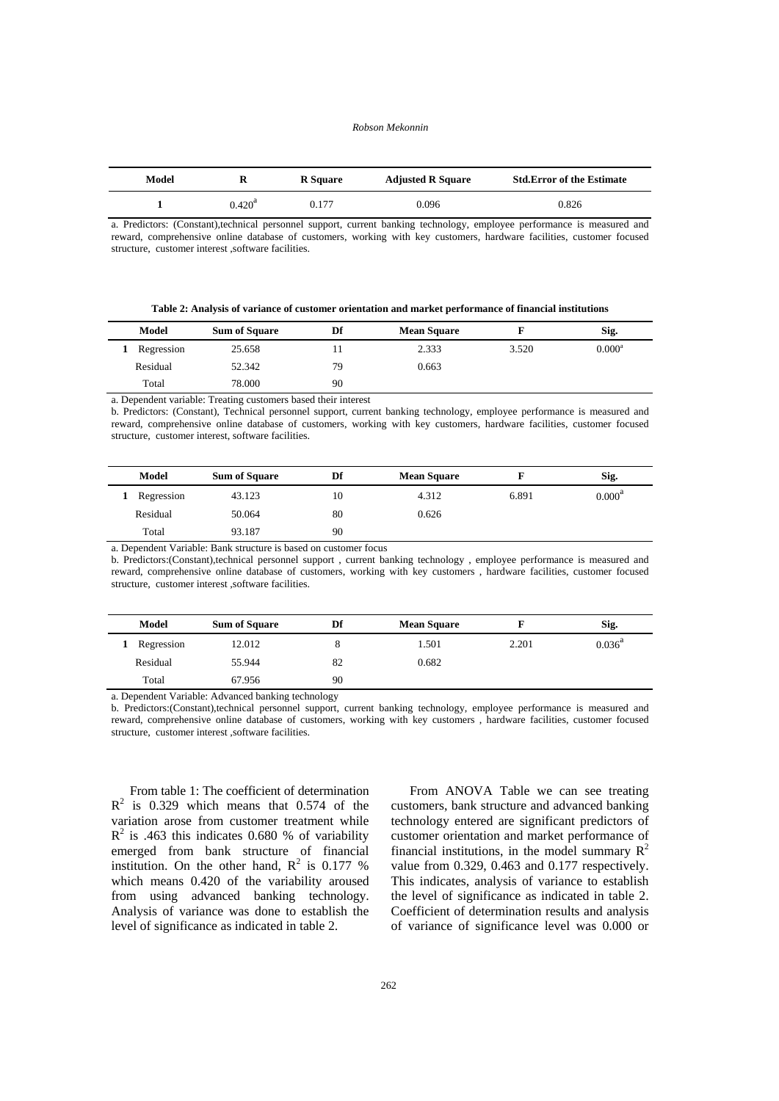#### *Robson Mekonnin*

| Model |                 | <b>R</b> Square | <b>Adjusted R Square</b> | <b>Std.Error of the Estimate</b> |
|-------|-----------------|-----------------|--------------------------|----------------------------------|
|       | $0.420^{\circ}$ | 0.177           | 0.096                    | 0.826                            |

a. Predictors: (Constant),technical personnel support, current banking technology, employee performance is measured and reward, comprehensive online database of customers, working with key customers, hardware facilities, customer focused structure, customer interest ,software facilities.

**Table 2: Analysis of variance of customer orientation and market performance of financial institutions** 

| Model      | <b>Sum of Square</b> | Df | <b>Mean Square</b> |       | Sig.            |
|------------|----------------------|----|--------------------|-------|-----------------|
| Regression | 25.658               |    | 2.333              | 3.520 | $0.000^{\rm a}$ |
| Residual   | 52.342               | 79 | 0.663              |       |                 |
| Total      | 78.000               | 90 |                    |       |                 |

a. Dependent variable: Treating customers based their interest

b. Predictors: (Constant), Technical personnel support, current banking technology, employee performance is measured and reward, comprehensive online database of customers, working with key customers, hardware facilities, customer focused structure, customer interest, software facilities.

| Model      | <b>Sum of Square</b>                                                                                                                                                                                                                                                                              | Df | <b>Mean Square</b> |       | Sig.               |
|------------|---------------------------------------------------------------------------------------------------------------------------------------------------------------------------------------------------------------------------------------------------------------------------------------------------|----|--------------------|-------|--------------------|
| Regression | 43.123                                                                                                                                                                                                                                                                                            | 10 | 4.312              | 6.891 | 0.000 <sup>a</sup> |
| Residual   | 50.064                                                                                                                                                                                                                                                                                            | 80 | 0.626              |       |                    |
| Total      | 93.187                                                                                                                                                                                                                                                                                            | 90 |                    |       |                    |
|            | $\mathbf{r}$ and $\mathbf{r}$ is the $\mathbf{r}$ and $\mathbf{r}$ and $\mathbf{r}$ and $\mathbf{r}$ and $\mathbf{r}$ and $\mathbf{r}$ and $\mathbf{r}$ and $\mathbf{r}$ and $\mathbf{r}$ and $\mathbf{r}$ and $\mathbf{r}$ and $\mathbf{r}$ and $\mathbf{r}$ and $\mathbf{r}$ and $\mathbf{r}$ a |    |                    |       |                    |

a. Dependent Variable: Bank structure is based on customer focus

b. Predictors:(Constant),technical personnel support , current banking technology , employee performance is measured and reward, comprehensive online database of customers, working with key customers , hardware facilities, customer focused structure, customer interest ,software facilities.

| Model      | <b>Sum of Square</b> | Df | <b>Mean Square</b> |       | Sig.            |
|------------|----------------------|----|--------------------|-------|-----------------|
| Regression | 12.012               | 8  | 1.501              | 2.201 | $0.036^{\rm a}$ |
| Residual   | 55.944               | 82 | 0.682              |       |                 |
| Total      | 67.956               | 90 |                    |       |                 |

a. Dependent Variable: Advanced banking technology

b. Predictors:(Constant),technical personnel support, current banking technology, employee performance is measured and reward, comprehensive online database of customers, working with key customers , hardware facilities, customer focused structure, customer interest ,software facilities.

From table 1: The coefficient of determination  $R<sup>2</sup>$  is 0.329 which means that 0.574 of the variation arose from customer treatment while  $R<sup>2</sup>$  is .463 this indicates 0.680 % of variability emerged from bank structure of financial institution. On the other hand,  $R^2$  is 0.177 % which means 0.420 of the variability aroused from using advanced banking technology. Analysis of variance was done to establish the level of significance as indicated in table 2.

From ANOVA Table we can see treating customers, bank structure and advanced banking technology entered are significant predictors of customer orientation and market performance of financial institutions, in the model summary  $R^2$ value from 0.329, 0.463 and 0.177 respectively. This indicates, analysis of variance to establish the level of significance as indicated in table 2. Coefficient of determination results and analysis of variance of significance level was 0.000 or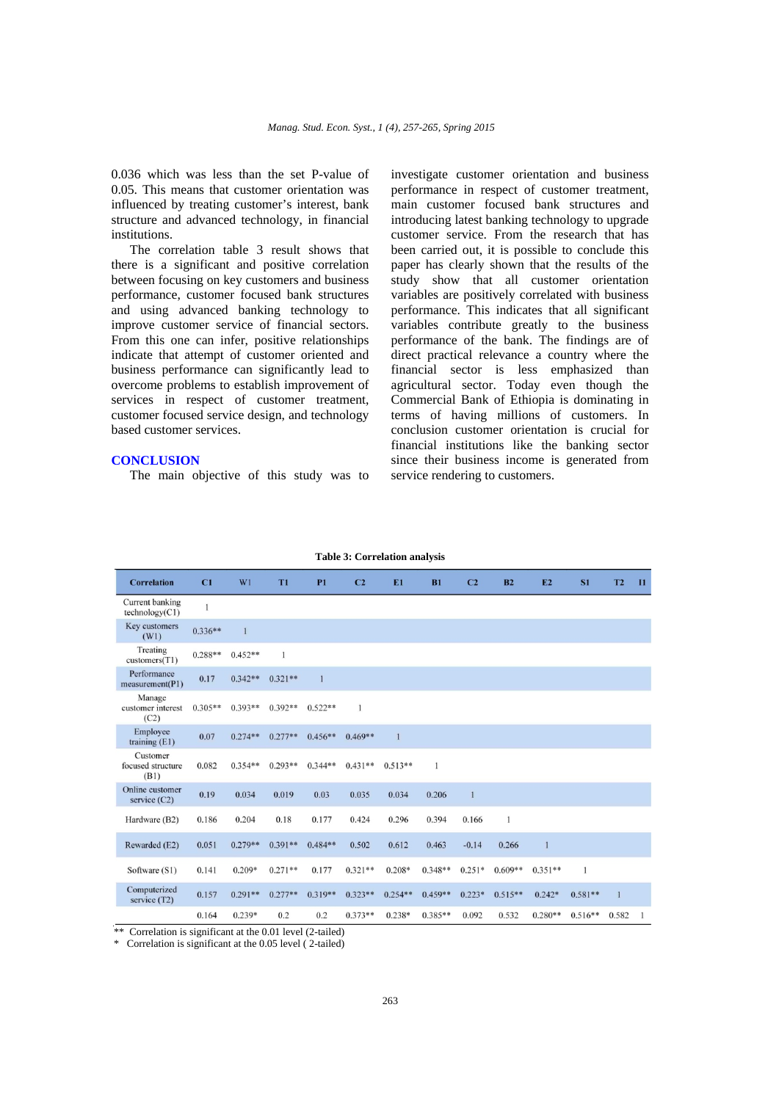0.036 which was less than the set P-value of 0.05. This means that customer orientation was influenced by treating customer's interest, bank structure and advanced technology, in financial institutions.

The correlation table 3 result shows that there is a significant and positive correlation between focusing on key customers and business performance, customer focused bank structures and using advanced banking technology to improve customer service of financial sectors. From this one can infer, positive relationships indicate that attempt of customer oriented and business performance can significantly lead to overcome problems to establish improvement of services in respect of customer treatment, customer focused service design, and technology based customer services.

## **CONCLUSION**

The main objective of this study was to

investigate customer orientation and business performance in respect of customer treatment, main customer focused bank structures and introducing latest banking technology to upgrade customer service. From the research that has been carried out, it is possible to conclude this paper has clearly shown that the results of the study show that all customer orientation variables are positively correlated with business performance. This indicates that all significant variables contribute greatly to the business performance of the bank. The findings are of direct practical relevance a country where the financial sector is less emphasized than agricultural sector. Today even though the Commercial Bank of Ethiopia is dominating in terms of having millions of customers. In conclusion customer orientation is crucial for financial institutions like the banking sector since their business income is generated from service rendering to customers.

| <b>Correlation</b>                        | C1           | W1           | T <sub>1</sub> | <b>P1</b>    | C <sub>2</sub> | E <sub>1</sub> | B1        | C <sub>2</sub> | B <sub>2</sub> | E2           | S1           | T <sub>2</sub> | $\mathbf{I}$ |
|-------------------------------------------|--------------|--------------|----------------|--------------|----------------|----------------|-----------|----------------|----------------|--------------|--------------|----------------|--------------|
| Current banking<br>technology(C1)         | $\mathbf{1}$ |              |                |              |                |                |           |                |                |              |              |                |              |
| Key customers<br>(W1)                     | $0.336**$    | $\mathbf{1}$ |                |              |                |                |           |                |                |              |              |                |              |
| Treating<br>$\text{customers}(\text{T1})$ | $0.288**$    | $0.452**$    | 1              |              |                |                |           |                |                |              |              |                |              |
| Performance<br>measurement(P1)            | 0.17         | $0.342**$    | $0.321**$      | $\mathbf{1}$ |                |                |           |                |                |              |              |                |              |
| Manage<br>customer interest<br>(C2)       | $0.305**$    | $0.393**$    | $0.392**$      | $0.522**$    | $\mathbf{1}$   |                |           |                |                |              |              |                |              |
| Employee<br>training $(E1)$               | 0.07         | $0.274**$    | $0.277**$      | $0.456**$    | $0.469**$      | $\mathbf{1}$   |           |                |                |              |              |                |              |
| Customer<br>focused structure<br>(B1)     | 0.082        | $0.354**$    | $0.293**$      | $0.344**$    | $0.431**$      | $0.513**$      | 1         |                |                |              |              |                |              |
| Online customer<br>service $(C2)$         | 0.19         | 0.034        | 0.019          | 0.03         | 0.035          | 0.034          | 0.206     | $\mathbf{1}$   |                |              |              |                |              |
| Hardware (B2)                             | 0.186        | 0.204        | 0.18           | 0.177        | 0.424          | 0.296          | 0.394     | 0.166          | 1              |              |              |                |              |
| Rewarded (E2)                             | 0.051        | $0.279**$    | $0.391**$      | $0.484**$    | 0.502          | 0.612          | 0.463     | $-0.14$        | 0.266          | $\mathbf{1}$ |              |                |              |
| Software (S1)                             | 0.141        | $0.209*$     | $0.271**$      | 0.177        | $0.321**$      | $0.208*$       | $0.348**$ | $0.251*$       | $0.609**$      | $0.351**$    | $\mathbf{1}$ |                |              |
| Computerized<br>service $(T2)$            | 0.157        | $0.291**$    | $0.277**$      | $0.319**$    | $0.323**$      | $0.254**$      | $0.459**$ | $0.223*$       | $0.515**$      | $0.242*$     | $0.581**$    | $\mathbf{1}$   |              |
|                                           | 0.164        | $0.239*$     | 0.2            | 0.2          | $0.373**$      | $0.238*$       | $0.385**$ | 0.092          | 0.532          | $0.280**$    | $0.516**$    | 0.582          |              |

|  |  |  |  | <b>Table 3: Correlation analysis</b> |
|--|--|--|--|--------------------------------------|
|--|--|--|--|--------------------------------------|

\*\* Correlation is significant at the 0.01 level (2-tailed)

\* Correlation is significant at the 0.05 level ( 2-tailed)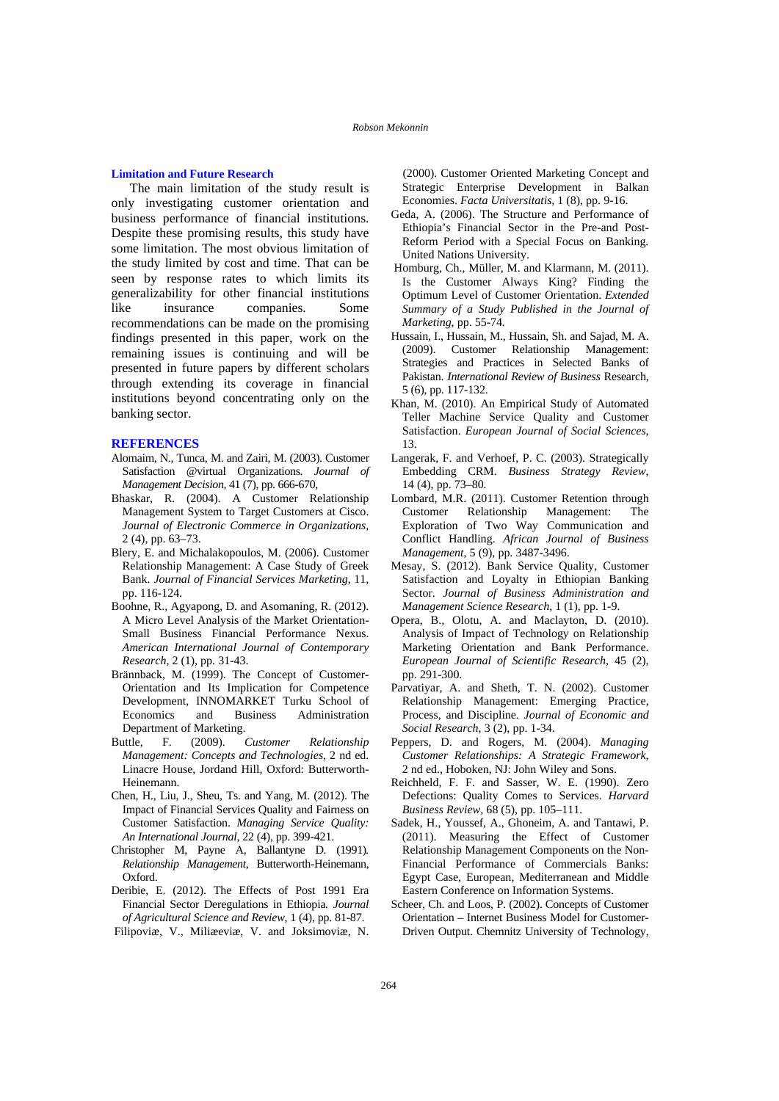#### **Limitation and Future Research**

The main limitation of the study result is only investigating customer orientation and business performance of financial institutions. Despite these promising results, this study have some limitation. The most obvious limitation of the study limited by cost and time. That can be seen by response rates to which limits its generalizability for other financial institutions like insurance companies. Some recommendations can be made on the promising findings presented in this paper, work on the remaining issues is continuing and will be presented in future papers by different scholars through extending its coverage in financial institutions beyond concentrating only on the banking sector.

#### **REFERENCES**

- Alomaim, N., Tunca, M. and Zairi, M. (2003). Customer Satisfaction @virtual Organizations. *Journal of Management Decision*, 41 (7), pp. 666-670,
- Bhaskar, R. (2004). A Customer Relationship Management System to Target Customers at Cisco. *Journal of Electronic Commerce in Organizations,*  2 (4), pp. 63–73.
- Blery, E. and Michalakopoulos, M. (2006). Customer Relationship Management: A Case Study of Greek Bank. *Journal of Financial Services Marketing,* 11, pp. 116-124.
- Boohne, R., Agyapong, D. and Asomaning, R. (2012). A Micro Level Analysis of the Market Orientation-Small Business Financial Performance Nexus. *American International Journal of Contemporary Research*, 2 (1), pp. 31-43.
- Brännback, M. (1999). The Concept of Customer-Orientation and Its Implication for Competence Development, INNOMARKET Turku School of Economics and Business Administration Department of Marketing.
- Buttle, F. (2009). *Customer Relationship Management: Concepts and Technologies*, 2 nd ed. Linacre House, Jordand Hill, Oxford: Butterworth-Heinemann.
- Chen, H., Liu, J., Sheu, Ts. and Yang, M. (2012). The Impact of Financial Services Quality and Fairness on Customer Satisfaction. *Managing Service Quality: An International Journal*, 22 (4), pp. 399-421.
- Christopher M, Payne A, Ballantyne D. (1991)*. Relationship Management*, Butterworth-Heinemann, Oxford.
- Deribie, E. (2012). The Effects of Post 1991 Era Financial Sector Deregulations in Ethiopia*. Journal of Agricultural Science and Review*, 1 (4), pp. 81-87. Filipoviæ, V., Miliæeviæ, V. and Joksimoviæ, N.

 (2000). Customer Oriented Marketing Concept and Strategic Enterprise Development in Balkan Economies. *Facta Universitatis*, 1 (8), pp. 9-16.

- Geda, A. (2006). The Structure and Performance of Ethiopia's Financial Sector in the Pre-and Post-Reform Period with a Special Focus on Banking*.* United Nations University.
- Homburg, Ch., Müller, M. and Klarmann, M. (2011). Is the Customer Always King? Finding the Optimum Level of Customer Orientation. *Extended Summary of a Study Published in the Journal of Marketing*, pp. 55-74*.*
- Hussain, I., Hussain, M., Hussain, Sh. and Sajad, M. A. (2009). Customer Relationship Management: Strategies and Practices in Selected Banks of Pakistan. *International Review of Business* Research, 5 (6), pp. 117-132.
- Khan, M. (2010). An Empirical Study of Automated Teller Machine Service Quality and Customer Satisfaction. *European Journal of Social Sciences*, 13.
- Langerak, F. and Verhoef, P. C. (2003). Strategically Embedding CRM. *Business Strategy Review*, 14 (4), pp. 73–80*.*
- Lombard, M.R. (2011). Customer Retention through Customer Relationship Management: The Exploration of Two Way Communication and Conflict Handling. *African Journal of Business Management*, 5 (9), pp. 3487-3496.
- Mesay, S. (2012). Bank Service Quality, Customer Satisfaction and Loyalty in Ethiopian Banking Sector. *Journal of Business Administration and Management Science Research*, 1 (1), pp. 1-9.
- Opera, B., Olotu, A. and Maclayton, D. (2010). Analysis of Impact of Technology on Relationship Marketing Orientation and Bank Performance. *European Journal of Scientific Research*, 45 (2), pp. 291-300.
- Parvatiyar, A. and Sheth, T. N. (2002). Customer Relationship Management: Emerging Practice, Process, and Discipline*. Journal of Economic and Social Research*, 3 (2), pp. 1-34.
- Peppers, D. and Rogers, M. (2004). *Managing Customer Relationships: A Strategic Framework,*  2 nd ed., Hoboken, NJ: John Wiley and Sons.
- Reichheld, F. F. and Sasser, W. E. (1990). Zero Defections: Quality Comes to Services. *Harvard Business Review*, 68 (5), pp. 105–111.
- Sadek, H., Youssef, A., Ghoneim, A. and Tantawi, P. (2011). Measuring the Effect of Customer Relationship Management Components on the Non-Financial Performance of Commercials Banks: Egypt Case, European, Mediterranean and Middle Eastern Conference on Information Systems.
- Scheer, Ch. and Loos, P. (2002). Concepts of Customer Orientation – Internet Business Model for Customer-Driven Output. Chemnitz University of Technology,